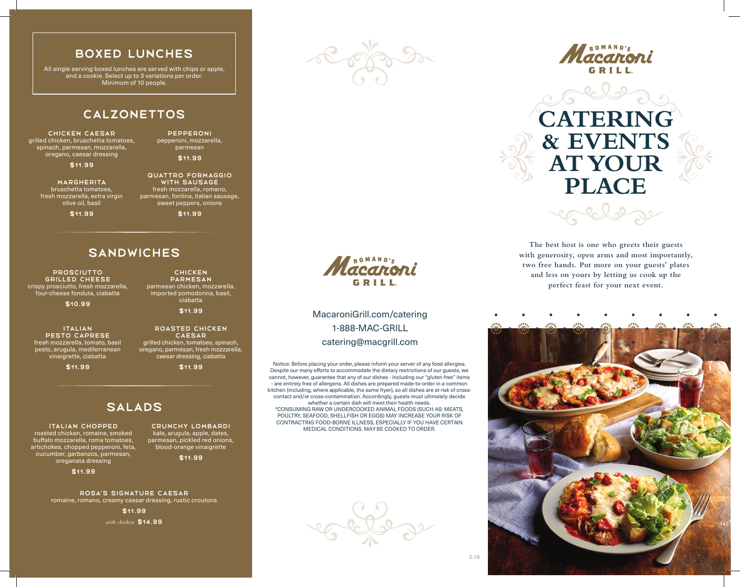# BOXED Lunches

All single serving boxed lunches are served with chips or apple, and a cookie. Select up to 3 variations per order. Minimum of 10 people.

#### Calzonettos

Chicken Caesar grilled chicken, bruschetta tomatoes, spinach, parmesan, mozzarella, oregano, caesar dressing

\$11.99

**MARGHERITA** bruschetta tomatoes, fresh mozzarella, extra virgin olive oil, basil

\$11.99

# **SANDWICHES**

**PROSCIUTTO** Grilled Cheese crispy prosciutto, fresh mozzarella, four-cheese fonduta, ciabatta

\$10.99

**ITALIAN** Pesto caprese fresh mozzarella, tomato, basil pesto, arugula, mediterranean vinaigrette, ciabatta

\$11.99

## **SALADS**

Italian Chopped

roasted chicken, romaine, smoked buffalo mozzarella, roma tomatoes, artichokes, chopped pepperoni, feta, cucumber, garbanzos, parmesan, oreganata dressing

\$11.99

Rosa's Signature Caesar romaine, romano, creamy caesar dressing, rustic croutons

\$11.99

*with chicken* \$14.99

#### Parmesan parmesan chicken, mozzarella, imported pomodorina, basil, ciabatta \$11.99

**CHICKEN** 

Pepperoni pepperoni, mozzarella, parmesan \$11.99

Quattro Formaggio with Sausage fresh mozzarella, romano, parmesan, fontina, italian sausage, sweet peppers, onions \$11.99

Roasted Chicken **CAESAR** grilled chicken, tomatoes, spinach, oregano, parmesan, fresh mozzarella, caesar dressing, ciabatta

\$11.99

Crunchy Lombardi kale, arugula, apple, dates, parmesan, pickled red onions,

\$11.99

blood-orange vinaigrette



MacaroniGrill.com/catering 1-888-MAC-GRILL catering@macgrill.com

ROMANO'S aeahohi GRILL

Notice: Before placing your order, please inform your server of any food allergies. cannot, however, guarantee that any of our dishes - including our "gluten free" items - are entirely free of allergens. All dishes are prepared made-to-order in a common kitchen (including, where applicable, the same fryer), so all dishes are at risk of crosscontact and/or cross-contamination. Accordingly, guests must ultimately decide whether a certain dish will meet their health needs. •CONSUMING RAW OR UNDERCOOKED ANIMAL FOODS (SUCH AS: MEATS, \* POULTRY, SEAFOOD, SHELLFISH OR EGGS) MAY INCREASE YOUR RISK OF

Despite our many efforts to accommodate the dietary restrictions of our guests, we

ROMANO'S laeanchi

# **CATERING & EVENTS AT YOUR PLACE**

**The best host is one who greets their guests with generosity, open arms and most importantly, two free hands. Put more on your guests' plates and less on yours by letting us cook up the perfect feast for your next event.** 

enclesse



2.19